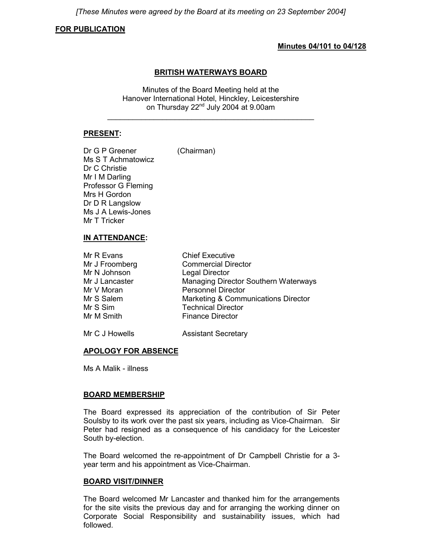*[These Minutes were agreed by the Board at its meeting on 23 September 2004]*

#### **FOR PUBLICATION**

#### **Minutes 04/101 to 04/128**

#### **BRITISH WATERWAYS BOARD**

Minutes of the Board Meeting held at the Hanover International Hotel, Hinckley, Leicestershire on Thursday 22<sup>nd</sup> July 2004 at 9.00am

\_\_\_\_\_\_\_\_\_\_\_\_\_\_\_\_\_\_\_\_\_\_\_\_\_\_\_\_\_\_\_\_\_\_\_\_\_\_\_\_\_\_\_\_\_\_\_\_\_

#### **PRESENT:**

Dr G P Greener (Chairman) Ms S T Achmatowicz Dr C Christie Mr I M Darling Professor G Fleming Mrs H Gordon Dr D R Langslow Ms J A Lewis-Jones Mr T Tricker

## **IN ATTENDANCE:**

| Mr R Evans     | <b>Chief Executive</b>               |
|----------------|--------------------------------------|
| Mr J Froomberg | <b>Commercial Director</b>           |
| Mr N Johnson   | <b>Legal Director</b>                |
| Mr J Lancaster | Managing Director Southern Waterways |
| Mr V Moran     | <b>Personnel Director</b>            |
| Mr S Salem     | Marketing & Communications Director  |
| Mr S Sim       | <b>Technical Director</b>            |
| Mr M Smith     | <b>Finance Director</b>              |
|                |                                      |

Mr C J Howells **Assistant Secretary** 

#### **APOLOGY FOR ABSENCE**

Ms A Malik - illness

#### **BOARD MEMBERSHIP**

The Board expressed its appreciation of the contribution of Sir Peter Soulsby to its work over the past six years, including as Vice-Chairman. Sir Peter had resigned as a consequence of his candidacy for the Leicester South by-election.

The Board welcomed the re-appointment of Dr Campbell Christie for a 3 year term and his appointment as Vice-Chairman.

#### **BOARD VISIT/DINNER**

The Board welcomed Mr Lancaster and thanked him for the arrangements for the site visits the previous day and for arranging the working dinner on Corporate Social Responsibility and sustainability issues, which had followed.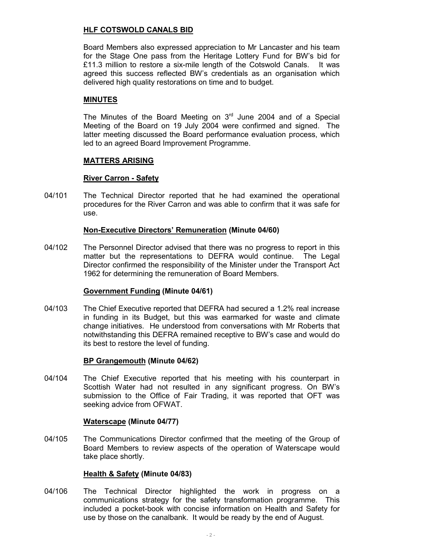## **HLF COTSWOLD CANALS BID**

Board Members also expressed appreciation to Mr Lancaster and his team for the Stage One pass from the Heritage Lottery Fund for BW's bid for £11.3 million to restore a six-mile length of the Cotswold Canals. It was agreed this success reflected BW's credentials as an organisation which delivered high quality restorations on time and to budget.

## **MINUTES**

The Minutes of the Board Meeting on  $3<sup>rd</sup>$  June 2004 and of a Special Meeting of the Board on 19 July 2004 were confirmed and signed. The latter meeting discussed the Board performance evaluation process, which led to an agreed Board Improvement Programme.

#### **MATTERS ARISING**

#### **River Carron - Safety**

04/101 The Technical Director reported that he had examined the operational procedures for the River Carron and was able to confirm that it was safe for use.

#### **Non-Executive Directors' Remuneration (Minute 04/60)**

04/102 The Personnel Director advised that there was no progress to report in this matter but the representations to DEFRA would continue. The Legal Director confirmed the responsibility of the Minister under the Transport Act 1962 for determining the remuneration of Board Members.

#### **Government Funding (Minute 04/61)**

04/103 The Chief Executive reported that DEFRA had secured a 1.2% real increase in funding in its Budget, but this was earmarked for waste and climate change initiatives. He understood from conversations with Mr Roberts that notwithstanding this DEFRA remained receptive to BW's case and would do its best to restore the level of funding.

## **BP Grangemouth (Minute 04/62)**

04/104 The Chief Executive reported that his meeting with his counterpart in Scottish Water had not resulted in any significant progress. On BW's submission to the Office of Fair Trading, it was reported that OFT was seeking advice from OFWAT.

#### **Waterscape (Minute 04/77)**

04/105 The Communications Director confirmed that the meeting of the Group of Board Members to review aspects of the operation of Waterscape would take place shortly.

## **Health & Safety (Minute 04/83)**

04/106 The Technical Director highlighted the work in progress on a communications strategy for the safety transformation programme. This included a pocket-book with concise information on Health and Safety for use by those on the canalbank. It would be ready by the end of August.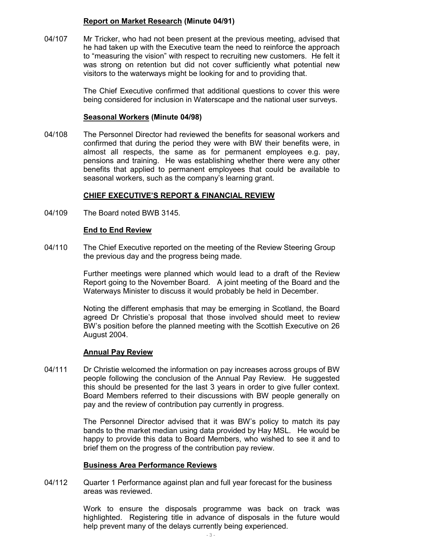## **Report on Market Research (Minute 04/91)**

04/107 Mr Tricker, who had not been present at the previous meeting, advised that he had taken up with the Executive team the need to reinforce the approach to "measuring the vision" with respect to recruiting new customers. He felt it was strong on retention but did not cover sufficiently what potential new visitors to the waterways might be looking for and to providing that.

> The Chief Executive confirmed that additional questions to cover this were being considered for inclusion in Waterscape and the national user surveys.

#### **Seasonal Workers (Minute 04/98)**

04/108 The Personnel Director had reviewed the benefits for seasonal workers and confirmed that during the period they were with BW their benefits were, in almost all respects, the same as for permanent employees e.g. pay, pensions and training. He was establishing whether there were any other benefits that applied to permanent employees that could be available to seasonal workers, such as the company's learning grant.

#### **CHIEF EXECUTIVE'S REPORT & FINANCIAL REVIEW**

04/109 The Board noted BWB 3145.

## **End to End Review**

04/110 The Chief Executive reported on the meeting of the Review Steering Group the previous day and the progress being made.

> Further meetings were planned which would lead to a draft of the Review Report going to the November Board. A joint meeting of the Board and the Waterways Minister to discuss it would probably be held in December.

> Noting the different emphasis that may be emerging in Scotland, the Board agreed Dr Christie's proposal that those involved should meet to review BW's position before the planned meeting with the Scottish Executive on 26 August 2004.

#### **Annual Pay Review**

04/111 Dr Christie welcomed the information on pay increases across groups of BW people following the conclusion of the Annual Pay Review. He suggested this should be presented for the last 3 years in order to give fuller context. Board Members referred to their discussions with BW people generally on pay and the review of contribution pay currently in progress.

> The Personnel Director advised that it was BW's policy to match its pay bands to the market median using data provided by Hay MSL. He would be happy to provide this data to Board Members, who wished to see it and to brief them on the progress of the contribution pay review.

#### **Business Area Performance Reviews**

04/112 Quarter 1 Performance against plan and full year forecast for the business areas was reviewed.

> Work to ensure the disposals programme was back on track was highlighted. Registering title in advance of disposals in the future would help prevent many of the delays currently being experienced.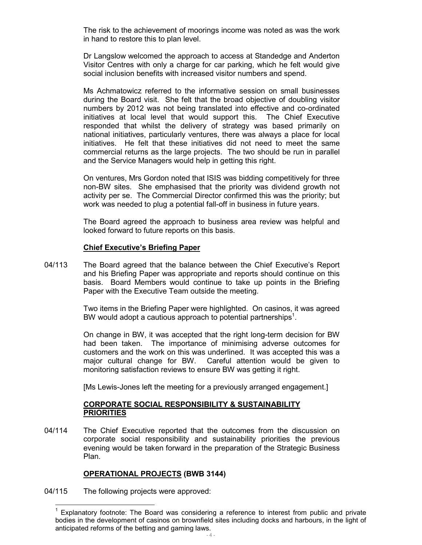The risk to the achievement of moorings income was noted as was the work in hand to restore this to plan level.

Dr Langslow welcomed the approach to access at Standedge and Anderton Visitor Centres with only a charge for car parking, which he felt would give social inclusion benefits with increased visitor numbers and spend.

Ms Achmatowicz referred to the informative session on small businesses during the Board visit. She felt that the broad objective of doubling visitor numbers by 2012 was not being translated into effective and co-ordinated initiatives at local level that would support this. The Chief Executive responded that whilst the delivery of strategy was based primarily on national initiatives, particularly ventures, there was always a place for local initiatives. He felt that these initiatives did not need to meet the same commercial returns as the large projects. The two should be run in parallel and the Service Managers would help in getting this right.

On ventures, Mrs Gordon noted that ISIS was bidding competitively for three non-BW sites. She emphasised that the priority was dividend growth not activity per se. The Commercial Director confirmed this was the priority; but work was needed to plug a potential fall-off in business in future years.

The Board agreed the approach to business area review was helpful and looked forward to future reports on this basis.

#### **Chief Executive's Briefing Paper**

04/113 The Board agreed that the balance between the Chief Executive's Report and his Briefing Paper was appropriate and reports should continue on this basis. Board Members would continue to take up points in the Briefing Paper with the Executive Team outside the meeting.

> Two items in the Briefing Paper were highlighted. On casinos, it was agreed BW would adopt a cautious approach to potential partnerships<sup>1</sup>.

> On change in BW, it was accepted that the right long-term decision for BW had been taken. The importance of minimising adverse outcomes for customers and the work on this was underlined. It was accepted this was a major cultural change for BW. Careful attention would be given to monitoring satisfaction reviews to ensure BW was getting it right.

[Ms Lewis-Jones left the meeting for a previously arranged engagement.]

## **CORPORATE SOCIAL RESPONSIBILITY & SUSTAINABILITY PRIORITIES**

04/114 The Chief Executive reported that the outcomes from the discussion on corporate social responsibility and sustainability priorities the previous evening would be taken forward in the preparation of the Strategic Business Plan.

## **OPERATIONAL PROJECTS (BWB 3144)**

04/115 The following projects were approved:

 $\overline{a}$ 

<sup>&</sup>lt;sup>1</sup> Explanatory footnote: The Board was considering a reference to interest from public and private bodies in the development of casinos on brownfield sites including docks and harbours, in the light of anticipated reforms of the betting and gaming laws.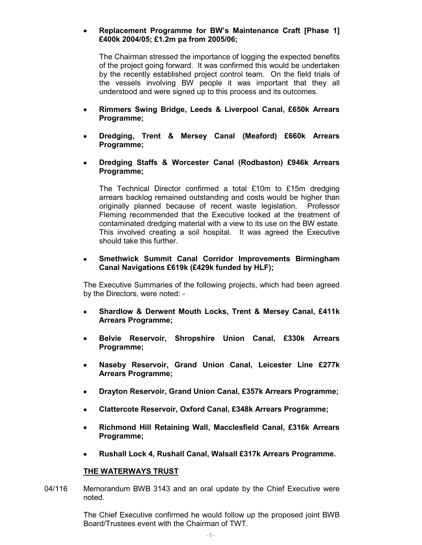## **Replacement Programme for BW's Maintenance Craft [Phase 1] £400k 2004/05; £1.2m pa from 2005/06;**

The Chairman stressed the importance of logging the expected benefits of the project going forward. It was confirmed this would be undertaken by the recently established project control team. On the field trials of the vessels involving BW people it was important that they all understood and were signed up to this process and its outcomes.

- **Rimmers Swing Bridge, Leeds & Liverpool Canal, £650k Arrears Programme;**
- **Dredging, Trent & Mersey Canal (Meaford) £660k Arrears Programme;**
- **Dredging Staffs & Worcester Canal (Rodbaston) £946k Arrears Programme;**

The Technical Director confirmed a total £10m to £15m dredging arrears backlog remained outstanding and costs would be higher than originally planned because of recent waste legislation. Professor Fleming recommended that the Executive looked at the treatment of contaminated dredging material with a view to its use on the BW estate. This involved creating a soil hospital. It was agreed the Executive should take this further.

#### **Smethwick Summit Canal Corridor Improvements Birmingham Canal Navigations £619k (£429k funded by HLF);**

The Executive Summaries of the following projects, which had been agreed by the Directors, were noted: -

- **Shardlow & Derwent Mouth Locks, Trent & Mersey Canal, £411k Arrears Programme;**
- **Belvie Reservoir, Shropshire Union Canal, £330k Arrears Programme;**
- **Naseby Reservoir, Grand Union Canal, Leicester Line £277k Arrears Programme;**
- **Drayton Reservoir, Grand Union Canal, £357k Arrears Programme;**
- **Clattercote Reservoir, Oxford Canal, £348k Arrears Programme;**
- **Richmond Hill Retaining Wall, Macclesfield Canal, £316k Arrears Programme;**
- **Rushall Lock 4, Rushall Canal, Walsall £317k Arrears Programme.**

#### **THE WATERWAYS TRUST**

04/116 Memorandum BWB 3143 and an oral update by the Chief Executive were noted.

> The Chief Executive confirmed he would follow up the proposed joint BWB Board/Trustees event with the Chairman of TWT.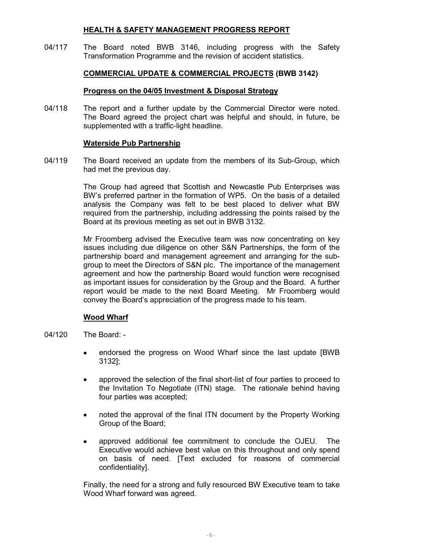## **HEALTH & SAFETY MANAGEMENT PROGRESS REPORT**

04/117 The Board noted BWB 3146, including progress with the Safety Transformation Programme and the revision of accident statistics.

## **COMMERCIAL UPDATE & COMMERCIAL PROJECTS (BWB 3142)**

#### **Progress on the 04/05 Investment & Disposal Strategy**

04/118 The report and a further update by the Commercial Director were noted. The Board agreed the project chart was helpful and should, in future, be supplemented with a traffic-light headline.

#### **Waterside Pub Partnership**

04/119 The Board received an update from the members of its Sub-Group, which had met the previous day.

> The Group had agreed that Scottish and Newcastle Pub Enterprises was BW's preferred partner in the formation of WP5. On the basis of a detailed analysis the Company was felt to be best placed to deliver what BW required from the partnership, including addressing the points raised by the Board at its previous meeting as set out in BWB 3132.

> Mr Froomberg advised the Executive team was now concentrating on key issues including due diligence on other S&N Partnerships, the form of the partnership board and management agreement and arranging for the subgroup to meet the Directors of S&N plc. The importance of the management agreement and how the partnership Board would function were recognised as important issues for consideration by the Group and the Board. A further report would be made to the next Board Meeting. Mr Froomberg would convey the Board's appreciation of the progress made to his team.

#### **Wood Wharf**

- 04/120 The Board:
	- endorsed the progress on Wood Wharf since the last update [BWB 3132];
	- approved the selection of the final short-list of four parties to proceed to the Invitation To Negotiate (ITN) stage. The rationale behind having four parties was accepted;
	- noted the approval of the final ITN document by the Property Working Group of the Board;
	- approved additional fee commitment to conclude the OJEU. The Executive would achieve best value on this throughout and only spend on basis of need. [Text excluded for reasons of commercial confidentiality].

Finally, the need for a strong and fully resourced BW Executive team to take Wood Wharf forward was agreed.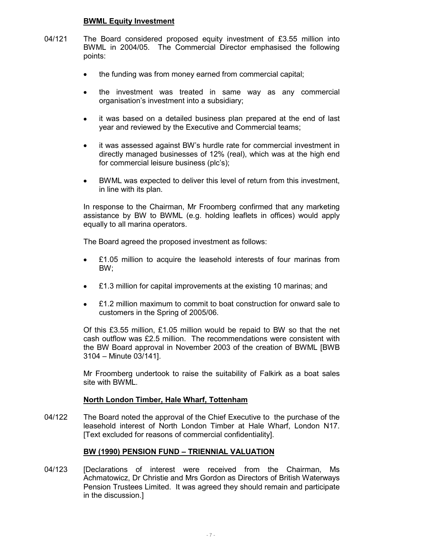#### **BWML Equity Investment**

- 04/121 The Board considered proposed equity investment of £3.55 million into BWML in 2004/05. The Commercial Director emphasised the following points:
	- the funding was from money earned from commercial capital;
	- the investment was treated in same way as any commercial organisation's investment into a subsidiary;
	- it was based on a detailed business plan prepared at the end of last year and reviewed by the Executive and Commercial teams;
	- it was assessed against BW's hurdle rate for commercial investment in directly managed businesses of 12% (real), which was at the high end for commercial leisure business (plc's);
	- BWML was expected to deliver this level of return from this investment, in line with its plan.

In response to the Chairman, Mr Froomberg confirmed that any marketing assistance by BW to BWML (e.g. holding leaflets in offices) would apply equally to all marina operators.

The Board agreed the proposed investment as follows:

- £1.05 million to acquire the leasehold interests of four marinas from BW;
- £1.3 million for capital improvements at the existing 10 marinas; and
- £1.2 million maximum to commit to boat construction for onward sale to customers in the Spring of 2005/06.

Of this £3.55 million, £1.05 million would be repaid to BW so that the net cash outflow was £2.5 million. The recommendations were consistent with the BW Board approval in November 2003 of the creation of BWML [BWB 3104 – Minute 03/141].

Mr Froomberg undertook to raise the suitability of Falkirk as a boat sales site with BWML.

#### **North London Timber, Hale Wharf, Tottenham**

04/122 The Board noted the approval of the Chief Executive to the purchase of the leasehold interest of North London Timber at Hale Wharf, London N17. [Text excluded for reasons of commercial confidentiality].

## **BW (1990) PENSION FUND – TRIENNIAL VALUATION**

04/123 [Declarations of interest were received from the Chairman, Ms Achmatowicz, Dr Christie and Mrs Gordon as Directors of British Waterways Pension Trustees Limited. It was agreed they should remain and participate in the discussion.]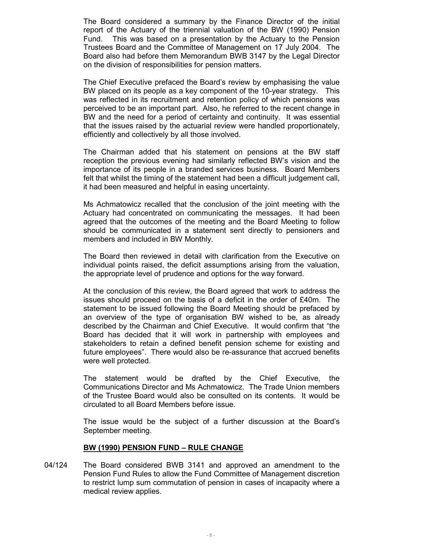The Board considered a summary by the Finance Director of the initial report of the Actuary of the triennial valuation of the BW (1990) Pension Fund. This was based on a presentation by the Actuary to the Pension Trustees Board and the Committee of Management on 17 July 2004. The Board also had before them Memorandum BWB 3147 by the Legal Director on the division of responsibilities for pension matters.

The Chief Executive prefaced the Board's review by emphasising the value BW placed on its people as a key component of the 10-year strategy. This was reflected in its recruitment and retention policy of which pensions was perceived to be an important part. Also, he referred to the recent change in BW and the need for a period of certainty and continuity. It was essential that the issues raised by the actuarial review were handled proportionately, efficiently and collectively by all those involved.

The Chairman added that his statement on pensions at the BW staff reception the previous evening had similarly reflected BW's vision and the importance of its people in a branded services business. Board Members felt that whilst the timing of the statement had been a difficult judgement call, it had been measured and helpful in easing uncertainty.

Ms Achmatowicz recalled that the conclusion of the joint meeting with the Actuary had concentrated on communicating the messages. It had been agreed that the outcomes of the meeting and the Board Meeting to follow should be communicated in a statement sent directly to pensioners and members and included in BW Monthly.

The Board then reviewed in detail with clarification from the Executive on individual points raised, the deficit assumptions arising from the valuation, the appropriate level of prudence and options for the way forward.

At the conclusion of this review, the Board agreed that work to address the issues should proceed on the basis of a deficit in the order of £40m. The statement to be issued following the Board Meeting should be prefaced by an overview of the type of organisation BW wished to be, as already described by the Chairman and Chief Executive. It would confirm that "the Board has decided that it will work in partnership with employees and stakeholders to retain a defined benefit pension scheme for existing and future employees". There would also be re-assurance that accrued benefits were well protected.

The statement would be drafted by the Chief Executive, the Communications Director and Ms Achmatowicz. The Trade Union members of the Trustee Board would also be consulted on its contents. It would be circulated to all Board Members before issue.

The issue would be the subject of a further discussion at the Board's September meeting.

#### **BW (1990) PENSION FUND – RULE CHANGE**

04/124 The Board considered BWB 3141 and approved an amendment to the Pension Fund Rules to allow the Fund Committee of Management discretion to restrict lump sum commutation of pension in cases of incapacity where a medical review applies.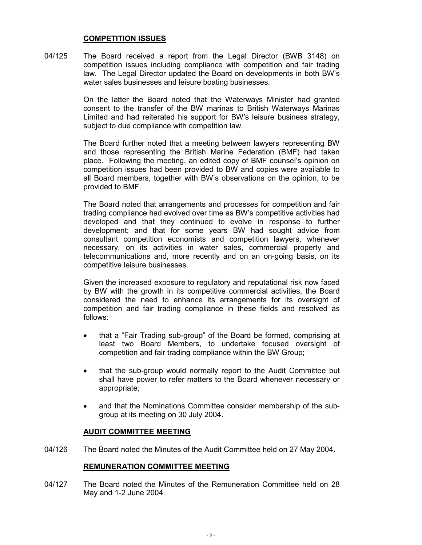#### **COMPETITION ISSUES**

04/125 The Board received a report from the Legal Director (BWB 3148) on competition issues including compliance with competition and fair trading law. The Legal Director updated the Board on developments in both BW's water sales businesses and leisure boating businesses.

> On the latter the Board noted that the Waterways Minister had granted consent to the transfer of the BW marinas to British Waterways Marinas Limited and had reiterated his support for BW's leisure business strategy, subject to due compliance with competition law.

> The Board further noted that a meeting between lawyers representing BW and those representing the British Marine Federation (BMF) had taken place. Following the meeting, an edited copy of BMF counsel's opinion on competition issues had been provided to BW and copies were available to all Board members, together with BW's observations on the opinion, to be provided to BMF.

> The Board noted that arrangements and processes for competition and fair trading compliance had evolved over time as BW's competitive activities had developed and that they continued to evolve in response to further development; and that for some years BW had sought advice from consultant competition economists and competition lawyers, whenever necessary, on its activities in water sales, commercial property and telecommunications and, more recently and on an on-going basis, on its competitive leisure businesses.

> Given the increased exposure to regulatory and reputational risk now faced by BW with the growth in its competitive commercial activities, the Board considered the need to enhance its arrangements for its oversight of competition and fair trading compliance in these fields and resolved as follows:

- that a "Fair Trading sub-group" of the Board be formed, comprising at least two Board Members, to undertake focused oversight of competition and fair trading compliance within the BW Group;
- that the sub-group would normally report to the Audit Committee but shall have power to refer matters to the Board whenever necessary or appropriate;
- and that the Nominations Committee consider membership of the subgroup at its meeting on 30 July 2004.

#### **AUDIT COMMITTEE MEETING**

04/126 The Board noted the Minutes of the Audit Committee held on 27 May 2004.

#### **REMUNERATION COMMITTEE MEETING**

04/127 The Board noted the Minutes of the Remuneration Committee held on 28 May and 1-2 June 2004.